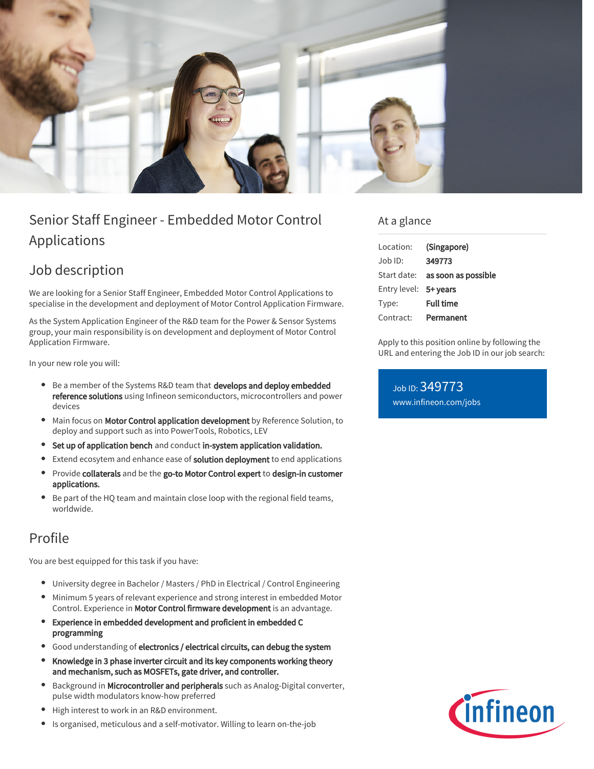

# Senior Staff Engineer - Embedded Motor Control Applications

## Job description

We are looking for a Senior Staff Engineer, Embedded Motor Control Applications to specialise in the development and deployment of Motor Control Application Firmware.

As the System Application Engineer of the R&D team for the Power & Sensor Systems group, your main responsibility is on development and deployment of Motor Control Application Firmware.

In your new role you will:

- **Be a member of the Systems R&D team that develops and deploy embedded** reference solutions using Infineon semiconductors, microcontrollers and power devices
- Main focus on Motor Control application development by Reference Solution, to deploy and support such as into PowerTools, Robotics, LEV
- Set up of application bench and conduct in-system application validation.
- $\bullet$ Extend ecosytem and enhance ease of solution deployment to end applications
- $\bullet$ Provide collaterals and be the go-to Motor Control expert to design-in customer applications.
- Be part of the HQ team and maintain close loop with the regional field teams, worldwide.

### Profile

You are best equipped for this task if you have:

- University degree in Bachelor / Masters / PhD in Electrical / Control Engineering
- Minimum 5 years of relevant experience and strong interest in embedded Motor Control. Experience in Motor Control firmware development is an advantage.
- Experience in embedded development and proficient in embedded C programming
- Good understanding of electronics / electrical circuits, can debug the system
- Knowledge in 3 phase inverter circuit and its key components working theory and mechanism, such as MOSFETs, gate driver, and controller.
- Background in Microcontroller and peripherals such as Analog-Digital converter, pulse width modulators know-how preferred
- High interest to work in an R&D environment.
- $\bullet$ Is organised, meticulous and a self-motivator. Willing to learn on-the-job

### At a glance

| Location:             | (Singapore)                            |
|-----------------------|----------------------------------------|
| $Joh$ ID:             | 349773                                 |
|                       | Start date: <b>as soon as possible</b> |
| Entry level: 5+ years |                                        |
| Type:                 | <b>Full time</b>                       |
| Contract:             | Permanent                              |

Apply to this position online by following the URL and entering the Job ID in our job search:

Job ID: 349773 [www.infineon.com/jobs](https://www.infineon.com/jobs)